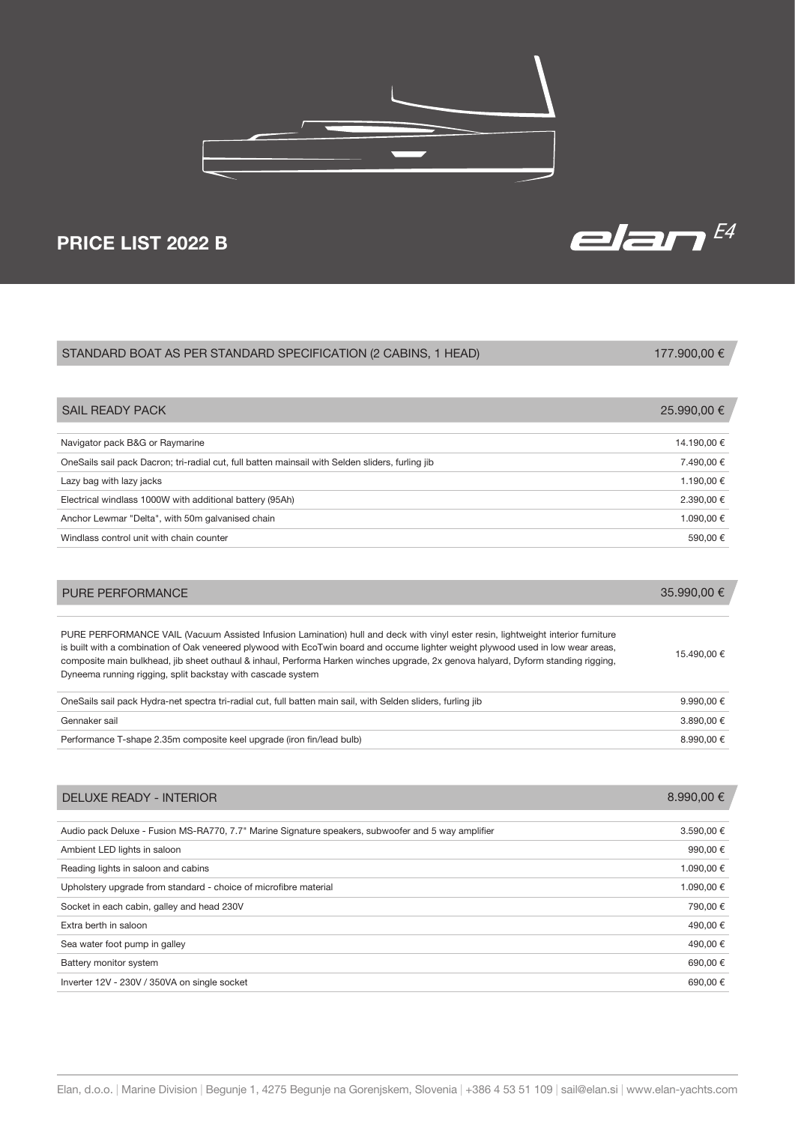

## PRICE LIST 2022 B

| STANDARD BOAT AS PER STANDARD SPECIFICATION (2 CABINS, 1 HEAD)                                                                                                                                                                                                                                                                                                                                                                                                           | 177.900,00 € |
|--------------------------------------------------------------------------------------------------------------------------------------------------------------------------------------------------------------------------------------------------------------------------------------------------------------------------------------------------------------------------------------------------------------------------------------------------------------------------|--------------|
|                                                                                                                                                                                                                                                                                                                                                                                                                                                                          |              |
| <b>SAIL READY PACK</b>                                                                                                                                                                                                                                                                                                                                                                                                                                                   | 25.990,00 €  |
| Navigator pack B&G or Raymarine                                                                                                                                                                                                                                                                                                                                                                                                                                          | 14.190,00 €  |
| OneSails sail pack Dacron; tri-radial cut, full batten mainsail with Selden sliders, furling jib                                                                                                                                                                                                                                                                                                                                                                         | 7.490,00 €   |
| Lazy bag with lazy jacks                                                                                                                                                                                                                                                                                                                                                                                                                                                 | 1.190,00 €   |
| Electrical windlass 1000W with additional battery (95Ah)                                                                                                                                                                                                                                                                                                                                                                                                                 | 2.390,00 €   |
| Anchor Lewmar "Delta", with 50m galvanised chain                                                                                                                                                                                                                                                                                                                                                                                                                         | 1.090,00 €   |
| Windlass control unit with chain counter                                                                                                                                                                                                                                                                                                                                                                                                                                 | 590,00 €     |
| PURE PERFORMANCE                                                                                                                                                                                                                                                                                                                                                                                                                                                         | 35.990,00 €  |
| PURE PERFORMANCE VAIL (Vacuum Assisted Infusion Lamination) hull and deck with vinyl ester resin, lightweight interior furniture<br>is built with a combination of Oak veneered plywood with EcoTwin board and occume lighter weight plywood used in low wear areas,<br>composite main bulkhead, jib sheet outhaul & inhaul, Performa Harken winches upgrade, 2x genova halyard, Dyform standing rigging,<br>Dyneema running rigging, split backstay with cascade system | 15.490,00 €  |
| OneSails sail pack Hydra-net spectra tri-radial cut, full batten main sail, with Selden sliders, furling jib                                                                                                                                                                                                                                                                                                                                                             | 9.990,00 €   |
| Gennaker sail                                                                                                                                                                                                                                                                                                                                                                                                                                                            | 3.890,00 €   |
| Performance T-shape 2.35m composite keel upgrade (iron fin/lead bulb)                                                                                                                                                                                                                                                                                                                                                                                                    | 8.990,00 €   |
| <b>DELUXE READY - INTERIOR</b>                                                                                                                                                                                                                                                                                                                                                                                                                                           | 8.990,00 €   |
| Audio pack Deluxe - Fusion MS-RA770, 7.7" Marine Signature speakers, subwoofer and 5 way amplifier                                                                                                                                                                                                                                                                                                                                                                       | 3.590,00 €   |
| Ambient LED lights in saloon                                                                                                                                                                                                                                                                                                                                                                                                                                             | 990,00€      |
| Reading lights in saloon and cabins                                                                                                                                                                                                                                                                                                                                                                                                                                      | 1.090,00 €   |
| Upholstery upgrade from standard - choice of microfibre material                                                                                                                                                                                                                                                                                                                                                                                                         | 1.090,00 €   |
| Socket in each cabin, galley and head 230V                                                                                                                                                                                                                                                                                                                                                                                                                               | 790.00 €     |

Sea water foot pump in galley  $490,00 \in$ 

Battery monitor system 690,00  $\epsilon$ 

Inverter  $12V - 230V / 350VA$  on single socket 690,00 €

Extra berth in saloon 490,00 €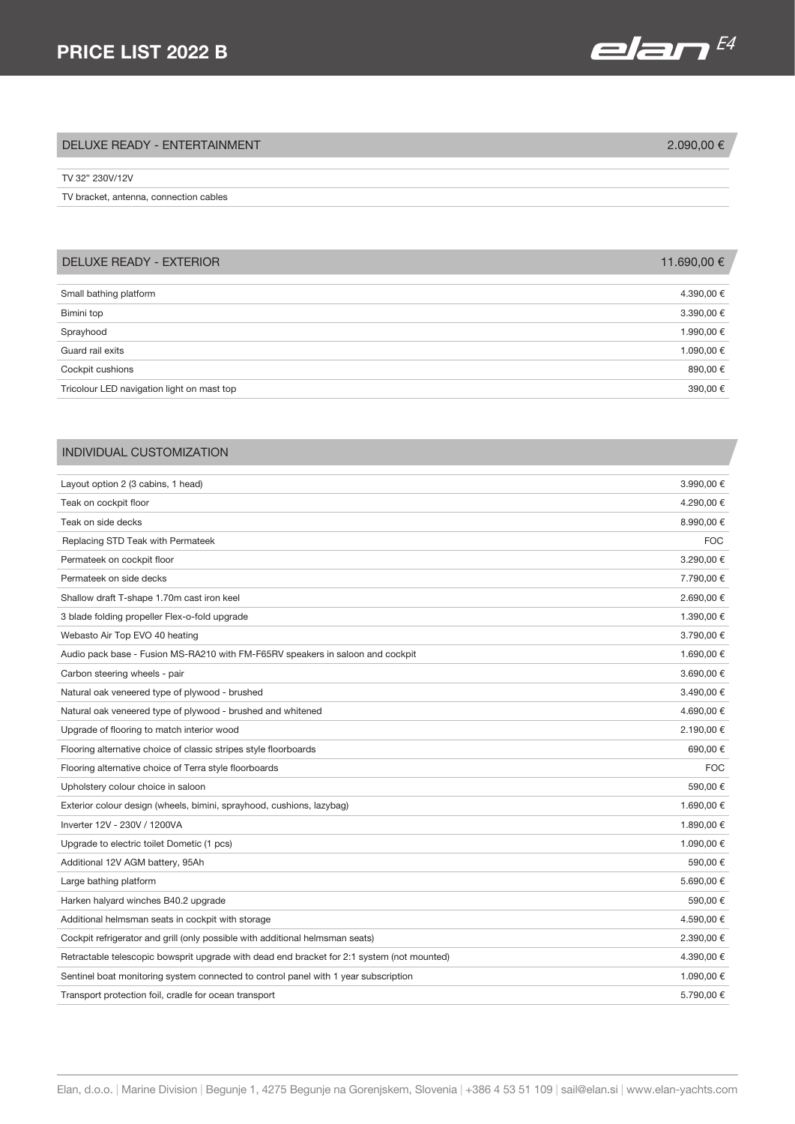

| DELUXE READY - ENTERTAINMENT           | 2.090,00 € |
|----------------------------------------|------------|
| TV 32" 230V/12V                        |            |
| TV bracket, antenna, connection cables |            |

| <b>DELUXE READY - EXTERIOR</b>             | 11.690,00 € |
|--------------------------------------------|-------------|
| Small bathing platform                     | 4.390,00 €  |
| Bimini top                                 | 3.390,00 €  |
|                                            |             |
| Sprayhood                                  | 1.990,00 €  |
| Guard rail exits                           | 1.090,00 €  |
| Cockpit cushions                           | 890,00€     |
| Tricolour LED navigation light on mast top | 390,00 €    |

## INDIVIDUAL CUSTOMIZATION

| Layout option 2 (3 cabins, 1 head)                                                         | 3.990,00 € |
|--------------------------------------------------------------------------------------------|------------|
| Teak on cockpit floor                                                                      | 4.290,00 € |
| Teak on side decks                                                                         | 8.990,00 € |
| Replacing STD Teak with Permateek                                                          | <b>FOC</b> |
| Permateek on cockpit floor                                                                 | 3.290.00 € |
| Permateek on side decks                                                                    | 7.790,00 € |
| Shallow draft T-shape 1.70m cast iron keel                                                 | 2.690,00 € |
| 3 blade folding propeller Flex-o-fold upgrade                                              | 1.390,00 € |
| Webasto Air Top EVO 40 heating                                                             | 3.790,00 € |
| Audio pack base - Fusion MS-RA210 with FM-F65RV speakers in saloon and cockpit             | 1.690,00 € |
| Carbon steering wheels - pair                                                              | 3.690,00 € |
| Natural oak veneered type of plywood - brushed                                             | 3.490,00 € |
| Natural oak veneered type of plywood - brushed and whitened                                | 4.690,00 € |
| Upgrade of flooring to match interior wood                                                 | 2.190,00 € |
| Flooring alternative choice of classic stripes style floorboards                           | 690,00€    |
| Flooring alternative choice of Terra style floorboards                                     | <b>FOC</b> |
| Upholstery colour choice in saloon                                                         | 590,00€    |
| Exterior colour design (wheels, bimini, sprayhood, cushions, lazybag)                      | 1.690,00 € |
| Inverter 12V - 230V / 1200VA                                                               | 1.890.00 € |
| Upgrade to electric toilet Dometic (1 pcs)                                                 | 1.090,00 € |
| Additional 12V AGM battery, 95Ah                                                           | 590.00€    |
| Large bathing platform                                                                     | 5.690,00 € |
| Harken halyard winches B40.2 upgrade                                                       | 590,00€    |
| Additional helmsman seats in cockpit with storage                                          | 4.590,00 € |
| Cockpit refrigerator and grill (only possible with additional helmsman seats)              | 2.390,00 € |
| Retractable telescopic bowsprit upgrade with dead end bracket for 2:1 system (not mounted) | 4.390,00 € |
| Sentinel boat monitoring system connected to control panel with 1 year subscription        | 1.090,00 € |
| Transport protection foil, cradle for ocean transport                                      | 5.790,00 € |
|                                                                                            |            |